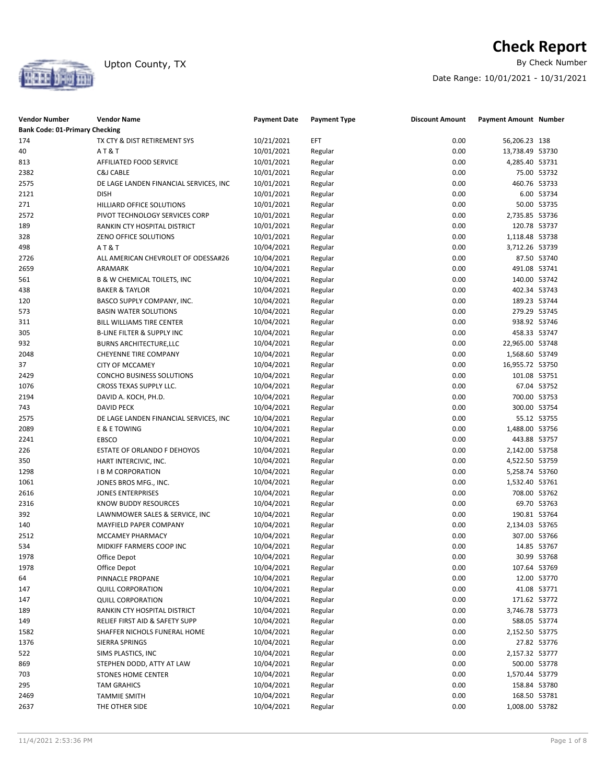

# **Check Report**<br>By Check Number

Date Range: 10/01/2021 - 10/31/2021

| <b>Vendor Number</b><br><b>Bank Code: 01-Primary Checking</b> | <b>Vendor Name</b>                     | <b>Payment Date</b> | <b>Payment Type</b> | <b>Discount Amount</b> | <b>Payment Amount Number</b> |             |
|---------------------------------------------------------------|----------------------------------------|---------------------|---------------------|------------------------|------------------------------|-------------|
| 174                                                           | TX CTY & DIST RETIREMENT SYS           | 10/21/2021          | EFT                 | 0.00                   | 56,206.23 138                |             |
| 40                                                            | AT&T                                   | 10/01/2021          | Regular             | 0.00                   | 13,738.49 53730              |             |
| 813                                                           | AFFILIATED FOOD SERVICE                | 10/01/2021          | Regular             | 0.00                   | 4,285.40 53731               |             |
| 2382                                                          | C&J CABLE                              | 10/01/2021          | Regular             | 0.00                   |                              | 75.00 53732 |
| 2575                                                          | DE LAGE LANDEN FINANCIAL SERVICES, INC | 10/01/2021          | Regular             | 0.00                   | 460.76 53733                 |             |
| 2121                                                          | <b>DISH</b>                            | 10/01/2021          | Regular             | 0.00                   |                              | 6.00 53734  |
| 271                                                           | HILLIARD OFFICE SOLUTIONS              | 10/01/2021          | Regular             | 0.00                   |                              | 50.00 53735 |
| 2572                                                          | PIVOT TECHNOLOGY SERVICES CORP         | 10/01/2021          | Regular             | 0.00                   | 2,735.85 53736               |             |
| 189                                                           | RANKIN CTY HOSPITAL DISTRICT           | 10/01/2021          | Regular             | 0.00                   | 120.78 53737                 |             |
| 328                                                           | ZENO OFFICE SOLUTIONS                  | 10/01/2021          | Regular             | 0.00                   | 1,118.48 53738               |             |
| 498                                                           | AT&T                                   | 10/04/2021          | Regular             | 0.00                   | 3,712.26 53739               |             |
| 2726                                                          | ALL AMERICAN CHEVROLET OF ODESSA#26    | 10/04/2021          | Regular             | 0.00                   |                              | 87.50 53740 |
| 2659                                                          | ARAMARK                                | 10/04/2021          | Regular             | 0.00                   | 491.08 53741                 |             |
| 561                                                           | B & W CHEMICAL TOILETS, INC            | 10/04/2021          | Regular             | 0.00                   | 140.00 53742                 |             |
| 438                                                           | <b>BAKER &amp; TAYLOR</b>              | 10/04/2021          | Regular             | 0.00                   | 402.34 53743                 |             |
| 120                                                           | BASCO SUPPLY COMPANY, INC.             | 10/04/2021          | Regular             | 0.00                   | 189.23 53744                 |             |
| 573                                                           | <b>BASIN WATER SOLUTIONS</b>           | 10/04/2021          | Regular             | 0.00                   | 279.29 53745                 |             |
| 311                                                           | BILL WILLIAMS TIRE CENTER              | 10/04/2021          | Regular             | 0.00                   | 938.92 53746                 |             |
| 305                                                           | <b>B-LINE FILTER &amp; SUPPLY INC</b>  | 10/04/2021          | Regular             | 0.00                   | 458.33 53747                 |             |
| 932                                                           | <b>BURNS ARCHITECTURE, LLC</b>         | 10/04/2021          | Regular             | 0.00                   | 22,965.00 53748              |             |
| 2048                                                          | <b>CHEYENNE TIRE COMPANY</b>           | 10/04/2021          | Regular             | 0.00                   | 1,568.60 53749               |             |
| 37                                                            | <b>CITY OF MCCAMEY</b>                 | 10/04/2021          | Regular             | 0.00                   | 16,955.72 53750              |             |
| 2429                                                          | <b>CONCHO BUSINESS SOLUTIONS</b>       | 10/04/2021          | Regular             | 0.00                   | 101.08 53751                 |             |
| 1076                                                          | CROSS TEXAS SUPPLY LLC.                | 10/04/2021          | Regular             | 0.00                   |                              | 67.04 53752 |
| 2194                                                          | DAVID A. KOCH, PH.D.                   | 10/04/2021          | Regular             | 0.00                   | 700.00 53753                 |             |
| 743                                                           | <b>DAVID PECK</b>                      | 10/04/2021          | Regular             | 0.00                   | 300.00 53754                 |             |
| 2575                                                          | DE LAGE LANDEN FINANCIAL SERVICES, INC | 10/04/2021          | Regular             | 0.00                   |                              | 55.12 53755 |
| 2089                                                          | E & E TOWING                           | 10/04/2021          | Regular             | 0.00                   | 1,488.00 53756               |             |
| 2241                                                          | EBSCO                                  | 10/04/2021          | Regular             | 0.00                   | 443.88 53757                 |             |
| 226                                                           | ESTATE OF ORLANDO F DEHOYOS            | 10/04/2021          | Regular             | 0.00                   | 2,142.00 53758               |             |
| 350                                                           | HART INTERCIVIC, INC.                  | 10/04/2021          | Regular             | 0.00                   | 4,522.50 53759               |             |
| 1298                                                          | <b>I B M CORPORATION</b>               | 10/04/2021          | Regular             | 0.00                   | 5,258.74 53760               |             |
| 1061                                                          | JONES BROS MFG., INC.                  | 10/04/2021          | Regular             | 0.00                   | 1,532.40 53761               |             |
| 2616                                                          | <b>JONES ENTERPRISES</b>               | 10/04/2021          | Regular             | 0.00                   | 708.00 53762                 |             |
| 2316                                                          | <b>KNOW BUDDY RESOURCES</b>            | 10/04/2021          | Regular             | 0.00                   |                              | 69.70 53763 |
| 392                                                           | LAWNMOWER SALES & SERVICE, INC         | 10/04/2021          | Regular             | 0.00                   | 190.81 53764                 |             |
| 140                                                           | MAYFIELD PAPER COMPANY                 | 10/04/2021          | Regular             | 0.00                   | 2,134.03 53765               |             |
| 2512                                                          | MCCAMEY PHARMACY                       | 10/04/2021          | Regular             | 0.00                   | 307.00 53766                 |             |
| 534                                                           | MIDKIFF FARMERS COOP INC               | 10/04/2021          | Regular             | 0.00                   |                              | 14.85 53767 |
| 1978                                                          | Office Depot                           | 10/04/2021          | Regular             | 0.00                   |                              | 30.99 53768 |
| 1978                                                          | Office Depot                           | 10/04/2021          | Regular             | 0.00                   | 107.64 53769                 |             |
| 64                                                            | PINNACLE PROPANE                       | 10/04/2021          | Regular             | 0.00                   |                              | 12.00 53770 |
| 147                                                           | <b>QUILL CORPORATION</b>               | 10/04/2021          | Regular             | 0.00                   |                              | 41.08 53771 |
| 147                                                           | <b>QUILL CORPORATION</b>               | 10/04/2021          | Regular             | 0.00                   | 171.62 53772                 |             |
| 189                                                           | RANKIN CTY HOSPITAL DISTRICT           | 10/04/2021          | Regular             | 0.00                   | 3,746.78 53773               |             |
| 149                                                           | RELIEF FIRST AID & SAFETY SUPP         | 10/04/2021          | Regular             | 0.00                   | 588.05 53774                 |             |
| 1582                                                          | SHAFFER NICHOLS FUNERAL HOME           | 10/04/2021          | Regular             | 0.00                   | 2,152.50 53775               |             |
| 1376                                                          | SIERRA SPRINGS                         | 10/04/2021          | Regular             | 0.00                   |                              | 27.82 53776 |
| 522                                                           | SIMS PLASTICS, INC                     | 10/04/2021          | Regular             | 0.00                   | 2,157.32 53777               |             |
| 869                                                           | STEPHEN DODD, ATTY AT LAW              | 10/04/2021          | Regular             | 0.00                   | 500.00 53778                 |             |
| 703                                                           | STONES HOME CENTER                     | 10/04/2021          | Regular             | 0.00                   | 1,570.44 53779               |             |
| 295                                                           | <b>TAM GRAHICS</b>                     | 10/04/2021          | Regular             | 0.00                   | 158.84 53780                 |             |
| 2469                                                          | <b>TAMMIE SMITH</b>                    | 10/04/2021          | Regular             | 0.00                   | 168.50 53781                 |             |
| 2637                                                          | THE OTHER SIDE                         | 10/04/2021          | Regular             | 0.00                   | 1,008.00 53782               |             |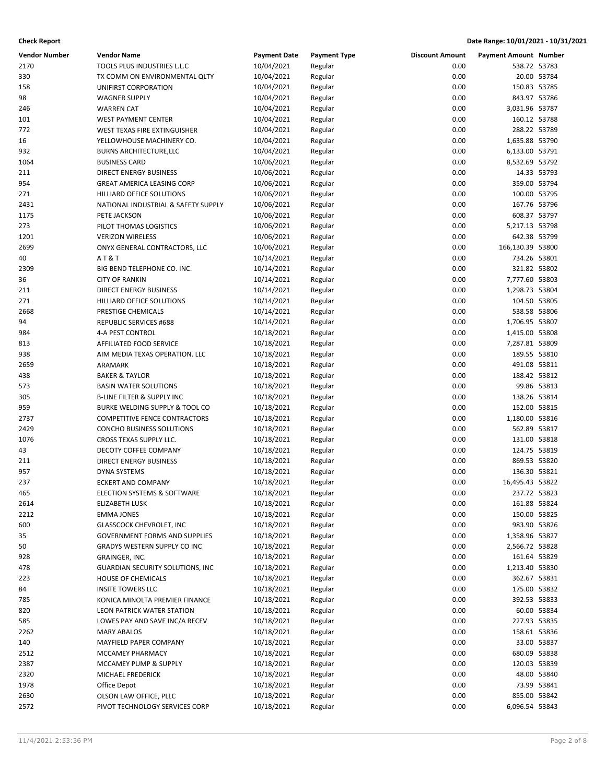| <b>Vendor Number</b> | <b>Vendor Name</b>                    | <b>Payment Date</b> | <b>Payment Type</b> | <b>Discount Amount</b> | <b>Payment Amount Number</b> |             |
|----------------------|---------------------------------------|---------------------|---------------------|------------------------|------------------------------|-------------|
| 2170                 | TOOLS PLUS INDUSTRIES L.L.C           | 10/04/2021          | Regular             | 0.00                   | 538.72 53783                 |             |
| 330                  | TX COMM ON ENVIRONMENTAL QLTY         | 10/04/2021          | Regular             | 0.00                   |                              | 20.00 53784 |
| 158                  | UNIFIRST CORPORATION                  | 10/04/2021          | Regular             | 0.00                   | 150.83 53785                 |             |
| 98                   | <b>WAGNER SUPPLY</b>                  | 10/04/2021          | Regular             | 0.00                   | 843.97 53786                 |             |
| 246                  | <b>WARREN CAT</b>                     | 10/04/2021          | Regular             | 0.00                   | 3,031.96 53787               |             |
| 101                  | <b>WEST PAYMENT CENTER</b>            | 10/04/2021          | Regular             | 0.00                   | 160.12 53788                 |             |
| 772                  | WEST TEXAS FIRE EXTINGUISHER          | 10/04/2021          | Regular             | 0.00                   | 288.22 53789                 |             |
| 16                   | YELLOWHOUSE MACHINERY CO.             | 10/04/2021          | Regular             | 0.00                   | 1,635.88 53790               |             |
| 932                  | <b>BURNS ARCHITECTURE, LLC</b>        | 10/04/2021          | Regular             | 0.00                   | 6,133.00 53791               |             |
| 1064                 | <b>BUSINESS CARD</b>                  | 10/06/2021          | Regular             | 0.00                   | 8,532.69 53792               |             |
| 211                  | <b>DIRECT ENERGY BUSINESS</b>         | 10/06/2021          | Regular             | 0.00                   |                              | 14.33 53793 |
| 954                  | <b>GREAT AMERICA LEASING CORP</b>     | 10/06/2021          | Regular             | 0.00                   | 359.00 53794                 |             |
| 271                  | HILLIARD OFFICE SOLUTIONS             | 10/06/2021          | Regular             | 0.00                   | 100.00 53795                 |             |
| 2431                 | NATIONAL INDUSTRIAL & SAFETY SUPPLY   | 10/06/2021          | Regular             | 0.00                   | 167.76 53796                 |             |
| 1175                 | PETE JACKSON                          | 10/06/2021          | Regular             | 0.00                   | 608.37 53797                 |             |
| 273                  | PILOT THOMAS LOGISTICS                | 10/06/2021          | Regular             | 0.00                   | 5,217.13 53798               |             |
| 1201                 | <b>VERIZON WIRELESS</b>               | 10/06/2021          | Regular             | 0.00                   | 642.38 53799                 |             |
| 2699                 | ONYX GENERAL CONTRACTORS, LLC         | 10/06/2021          | Regular             | 0.00                   | 166,130.39 53800             |             |
| 40                   | AT&T                                  | 10/14/2021          | Regular             | 0.00                   | 734.26 53801                 |             |
| 2309                 | BIG BEND TELEPHONE CO. INC.           | 10/14/2021          | Regular             | 0.00                   | 321.82 53802                 |             |
| 36                   | <b>CITY OF RANKIN</b>                 | 10/14/2021          | Regular             | 0.00                   | 7,777.60 53803               |             |
| 211                  | <b>DIRECT ENERGY BUSINESS</b>         | 10/14/2021          | Regular             | 0.00                   | 1,298.73 53804               |             |
| 271                  | HILLIARD OFFICE SOLUTIONS             | 10/14/2021          | Regular             | 0.00                   | 104.50 53805                 |             |
| 2668                 | PRESTIGE CHEMICALS                    | 10/14/2021          | Regular             | 0.00                   | 538.58 53806                 |             |
| 94                   | REPUBLIC SERVICES #688                | 10/14/2021          | Regular             | 0.00                   | 1,706.95 53807               |             |
| 984                  | 4-A PEST CONTROL                      | 10/18/2021          | Regular             | 0.00                   | 1,415.00 53808               |             |
| 813                  | AFFILIATED FOOD SERVICE               | 10/18/2021          | Regular             | 0.00                   | 7,287.81 53809               |             |
| 938                  | AIM MEDIA TEXAS OPERATION. LLC        | 10/18/2021          | Regular             | 0.00                   | 189.55 53810                 |             |
| 2659                 | ARAMARK                               | 10/18/2021          | Regular             | 0.00                   | 491.08 53811                 |             |
| 438                  | <b>BAKER &amp; TAYLOR</b>             | 10/18/2021          | Regular             | 0.00                   | 188.42 53812                 |             |
| 573                  | <b>BASIN WATER SOLUTIONS</b>          | 10/18/2021          | Regular             | 0.00                   |                              | 99.86 53813 |
| 305                  | <b>B-LINE FILTER &amp; SUPPLY INC</b> | 10/18/2021          | Regular             | 0.00                   | 138.26 53814                 |             |
| 959                  | BURKE WELDING SUPPLY & TOOL CO        | 10/18/2021          | Regular             | 0.00                   | 152.00 53815                 |             |
| 2737                 | <b>COMPETITIVE FENCE CONTRACTORS</b>  | 10/18/2021          | Regular             | 0.00                   | 1,180.00 53816               |             |
| 2429                 | CONCHO BUSINESS SOLUTIONS             | 10/18/2021          | Regular             | 0.00                   | 562.89 53817                 |             |
| 1076                 | CROSS TEXAS SUPPLY LLC.               | 10/18/2021          | Regular             | 0.00                   | 131.00 53818                 |             |
| 43                   | DECOTY COFFEE COMPANY                 | 10/18/2021          | Regular             | 0.00                   | 124.75 53819                 |             |
| 211                  | <b>DIRECT ENERGY BUSINESS</b>         | 10/18/2021          | Regular             | 0.00                   | 869.53 53820                 |             |
| 957                  | <b>DYNA SYSTEMS</b>                   | 10/18/2021          | Regular             | 0.00                   | 136.30 53821                 |             |
| 237                  | <b>ECKERT AND COMPANY</b>             | 10/18/2021          | Regular             | 0.00                   | 16,495.43 53822              |             |
| 465                  | ELECTION SYSTEMS & SOFTWARE           | 10/18/2021          | Regular             | 0.00                   | 237.72 53823                 |             |
| 2614                 | ELIZABETH LUSK                        | 10/18/2021          | Regular             | 0.00                   | 161.88 53824                 |             |
| 2212                 | <b>EMMA JONES</b>                     | 10/18/2021          | Regular             | 0.00                   | 150.00 53825                 |             |
| 600                  | <b>GLASSCOCK CHEVROLET, INC</b>       | 10/18/2021          | Regular             | 0.00                   | 983.90 53826                 |             |
| 35                   | <b>GOVERNMENT FORMS AND SUPPLIES</b>  | 10/18/2021          | Regular             | 0.00                   | 1,358.96 53827               |             |
| 50                   | GRADYS WESTERN SUPPLY CO INC          | 10/18/2021          | Regular             | 0.00                   | 2,566.72 53828               |             |
| 928                  | GRAINGER, INC.                        | 10/18/2021          | Regular             | 0.00                   | 161.64 53829                 |             |
| 478                  | GUARDIAN SECURITY SOLUTIONS, INC      | 10/18/2021          | Regular             | 0.00                   | 1,213.40 53830               |             |
| 223                  | <b>HOUSE OF CHEMICALS</b>             | 10/18/2021          | Regular             | 0.00                   | 362.67 53831                 |             |
| 84                   | <b>INSITE TOWERS LLC</b>              | 10/18/2021          | Regular             | 0.00                   | 175.00 53832                 |             |
| 785                  | KONICA MINOLTA PREMIER FINANCE        | 10/18/2021          | Regular             | 0.00                   | 392.53 53833                 |             |
| 820                  | LEON PATRICK WATER STATION            | 10/18/2021          | Regular             | 0.00                   |                              | 60.00 53834 |
| 585                  | LOWES PAY AND SAVE INC/A RECEV        | 10/18/2021          | Regular             | 0.00                   | 227.93 53835                 |             |
| 2262                 | <b>MARY ABALOS</b>                    | 10/18/2021          | Regular             | 0.00                   | 158.61 53836                 |             |
| 140                  | MAYFIELD PAPER COMPANY                | 10/18/2021          | Regular             | 0.00                   |                              | 33.00 53837 |
| 2512                 | MCCAMEY PHARMACY                      | 10/18/2021          | Regular             | 0.00                   | 680.09 53838                 |             |
| 2387                 | MCCAMEY PUMP & SUPPLY                 | 10/18/2021          | Regular             | 0.00                   | 120.03 53839                 |             |
| 2320                 | MICHAEL FREDERICK                     | 10/18/2021          | Regular             | 0.00                   |                              | 48.00 53840 |
| 1978                 | Office Depot                          | 10/18/2021          | Regular             | 0.00                   |                              | 73.99 53841 |
| 2630                 | OLSON LAW OFFICE, PLLC                | 10/18/2021          | Regular             | 0.00                   | 855.00 53842                 |             |
| 2572                 | PIVOT TECHNOLOGY SERVICES CORP        | 10/18/2021          | Regular             | 0.00                   | 6,096.54 53843               |             |
|                      |                                       |                     |                     |                        |                              |             |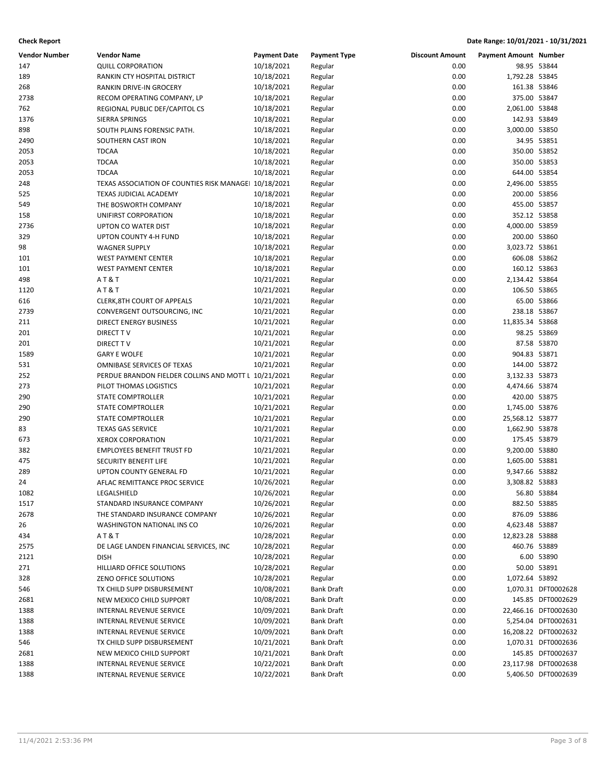| <b>Vendor Number</b> | <b>Vendor Name</b>                                   | <b>Payment Date</b> | <b>Payment Type</b> | <b>Discount Amount</b> | <b>Payment Amount Number</b> |                      |
|----------------------|------------------------------------------------------|---------------------|---------------------|------------------------|------------------------------|----------------------|
| 147                  | <b>QUILL CORPORATION</b>                             | 10/18/2021          | Regular             | 0.00                   |                              | 98.95 53844          |
| 189                  | RANKIN CTY HOSPITAL DISTRICT                         | 10/18/2021          | Regular             | 0.00                   | 1,792.28 53845               |                      |
| 268                  | RANKIN DRIVE-IN GROCERY                              | 10/18/2021          | Regular             | 0.00                   | 161.38 53846                 |                      |
| 2738                 | RECOM OPERATING COMPANY, LP                          | 10/18/2021          | Regular             | 0.00                   | 375.00 53847                 |                      |
| 762                  | REGIONAL PUBLIC DEF/CAPITOL CS                       | 10/18/2021          | Regular             | 0.00                   | 2,061.00 53848               |                      |
| 1376                 | SIERRA SPRINGS                                       | 10/18/2021          | Regular             | 0.00                   | 142.93 53849                 |                      |
| 898                  | SOUTH PLAINS FORENSIC PATH.                          | 10/18/2021          | Regular             | 0.00                   | 3,000.00 53850               |                      |
| 2490                 | SOUTHERN CAST IRON                                   | 10/18/2021          | Regular             | 0.00                   |                              | 34.95 53851          |
| 2053                 | <b>TDCAA</b>                                         | 10/18/2021          | Regular             | 0.00                   | 350.00 53852                 |                      |
| 2053                 | <b>TDCAA</b>                                         | 10/18/2021          | Regular             | 0.00                   | 350.00 53853                 |                      |
| 2053                 | <b>TDCAA</b>                                         | 10/18/2021          | Regular             | 0.00                   | 644.00 53854                 |                      |
| 248                  | TEXAS ASSOCIATION OF COUNTIES RISK MANAGE 10/18/2021 |                     | Regular             | 0.00                   | 2,496.00 53855               |                      |
| 525                  | TEXAS JUDICIAL ACADEMY                               | 10/18/2021          | Regular             | 0.00                   | 200.00 53856                 |                      |
| 549                  | THE BOSWORTH COMPANY                                 | 10/18/2021          | Regular             | 0.00                   | 455.00 53857                 |                      |
| 158                  | UNIFIRST CORPORATION                                 | 10/18/2021          | Regular             | 0.00                   | 352.12 53858                 |                      |
| 2736                 | UPTON CO WATER DIST                                  | 10/18/2021          | Regular             | 0.00                   | 4,000.00 53859               |                      |
| 329                  | UPTON COUNTY 4-H FUND                                | 10/18/2021          | Regular             | 0.00                   | 200.00 53860                 |                      |
| 98                   | <b>WAGNER SUPPLY</b>                                 | 10/18/2021          | Regular             | 0.00                   | 3,023.72 53861               |                      |
| 101                  | <b>WEST PAYMENT CENTER</b>                           | 10/18/2021          | Regular             | 0.00                   | 606.08 53862                 |                      |
| 101                  | <b>WEST PAYMENT CENTER</b>                           | 10/18/2021          | Regular             | 0.00                   | 160.12 53863                 |                      |
| 498                  | <b>AT&amp;T</b>                                      | 10/21/2021          |                     | 0.00                   | 2,134.42 53864               |                      |
| 1120                 | <b>AT&amp;T</b>                                      | 10/21/2021          | Regular<br>Regular  | 0.00                   | 106.50 53865                 |                      |
|                      | <b>CLERK, 8TH COURT OF APPEALS</b>                   |                     |                     | 0.00                   |                              | 65.00 53866          |
| 616                  |                                                      | 10/21/2021          | Regular             |                        |                              |                      |
| 2739                 | CONVERGENT OUTSOURCING, INC                          | 10/21/2021          | Regular             | 0.00                   | 238.18 53867                 |                      |
| 211                  | <b>DIRECT ENERGY BUSINESS</b>                        | 10/21/2021          | Regular             | 0.00                   | 11,835.34 53868              |                      |
| 201                  | <b>DIRECT TV</b>                                     | 10/21/2021          | Regular             | 0.00                   |                              | 98.25 53869          |
| 201                  | DIRECT TV                                            | 10/21/2021          | Regular             | 0.00                   |                              | 87.58 53870          |
| 1589                 | <b>GARY E WOLFE</b>                                  | 10/21/2021          | Regular             | 0.00                   | 904.83 53871                 |                      |
| 531                  | OMNIBASE SERVICES OF TEXAS                           | 10/21/2021          | Regular             | 0.00                   | 144.00 53872                 |                      |
| 252                  | PERDUE BRANDON FIELDER COLLINS AND MOTT L 10/21/2021 |                     | Regular             | 0.00                   | 3,132.33 53873               |                      |
| 273                  | PILOT THOMAS LOGISTICS                               | 10/21/2021          | Regular             | 0.00                   | 4,474.66 53874               |                      |
| 290                  | STATE COMPTROLLER                                    | 10/21/2021          | Regular             | 0.00                   | 420.00 53875                 |                      |
| 290                  | STATE COMPTROLLER                                    | 10/21/2021          | Regular             | 0.00                   | 1,745.00 53876               |                      |
| 290                  | STATE COMPTROLLER                                    | 10/21/2021          | Regular             | 0.00                   | 25,568.12 53877              |                      |
| 83                   | <b>TEXAS GAS SERVICE</b>                             | 10/21/2021          | Regular             | 0.00                   | 1,662.90 53878               |                      |
| 673                  | <b>XEROX CORPORATION</b>                             | 10/21/2021          | Regular             | 0.00                   | 175.45 53879                 |                      |
| 382                  | <b>EMPLOYEES BENEFIT TRUST FD</b>                    | 10/21/2021          | Regular             | 0.00                   | 9,200.00 53880               |                      |
| 475                  | SECURITY BENEFIT LIFE                                | 10/21/2021          | Regular             | 0.00                   | 1,605.00 53881               |                      |
| 289                  | UPTON COUNTY GENERAL FD                              | 10/21/2021          | Regular             | 0.00                   | 9,347.66 53882               |                      |
| 24                   | AFLAC REMITTANCE PROC SERVICE                        | 10/26/2021          | Regular             | 0.00                   | 3,308.82 53883               |                      |
| 1082                 | LEGALSHIELD                                          | 10/26/2021          | Regular             | 0.00                   |                              | 56.80 53884          |
| 1517                 | STANDARD INSURANCE COMPANY                           | 10/26/2021          | Regular             | 0.00                   | 882.50 53885                 |                      |
| 2678                 | THE STANDARD INSURANCE COMPANY                       | 10/26/2021          | Regular             | 0.00                   | 876.09 53886                 |                      |
| 26                   | WASHINGTON NATIONAL INS CO                           | 10/26/2021          | Regular             | 0.00                   | 4,623.48 53887               |                      |
| 434                  | <b>AT&amp;T</b>                                      | 10/28/2021          | Regular             | 0.00                   | 12,823.28 53888              |                      |
| 2575                 | DE LAGE LANDEN FINANCIAL SERVICES, INC               | 10/28/2021          | Regular             | 0.00                   | 460.76 53889                 |                      |
| 2121                 | <b>DISH</b>                                          | 10/28/2021          | Regular             | 0.00                   |                              | 6.00 53890           |
| 271                  | HILLIARD OFFICE SOLUTIONS                            | 10/28/2021          | Regular             | 0.00                   |                              | 50.00 53891          |
| 328                  | ZENO OFFICE SOLUTIONS                                | 10/28/2021          | Regular             | 0.00                   | 1,072.64 53892               |                      |
| 546                  | TX CHILD SUPP DISBURSEMENT                           | 10/08/2021          | <b>Bank Draft</b>   | 0.00                   |                              | 1,070.31 DFT0002628  |
| 2681                 | NEW MEXICO CHILD SUPPORT                             | 10/08/2021          | <b>Bank Draft</b>   | 0.00                   |                              | 145.85 DFT0002629    |
| 1388                 | <b>INTERNAL REVENUE SERVICE</b>                      | 10/09/2021          | <b>Bank Draft</b>   | 0.00                   |                              | 22,466.16 DFT0002630 |
| 1388                 | INTERNAL REVENUE SERVICE                             | 10/09/2021          | Bank Draft          | 0.00                   |                              | 5,254.04 DFT0002631  |
| 1388                 | INTERNAL REVENUE SERVICE                             | 10/09/2021          | <b>Bank Draft</b>   | 0.00                   |                              | 16,208.22 DFT0002632 |
| 546                  | TX CHILD SUPP DISBURSEMENT                           | 10/21/2021          | <b>Bank Draft</b>   | 0.00                   |                              | 1,070.31 DFT0002636  |
| 2681                 | NEW MEXICO CHILD SUPPORT                             | 10/21/2021          | <b>Bank Draft</b>   | 0.00                   |                              | 145.85 DFT0002637    |
| 1388                 | INTERNAL REVENUE SERVICE                             | 10/22/2021          | <b>Bank Draft</b>   | 0.00                   |                              | 23,117.98 DFT0002638 |
| 1388                 | INTERNAL REVENUE SERVICE                             | 10/22/2021          | <b>Bank Draft</b>   | 0.00                   |                              | 5,406.50 DFT0002639  |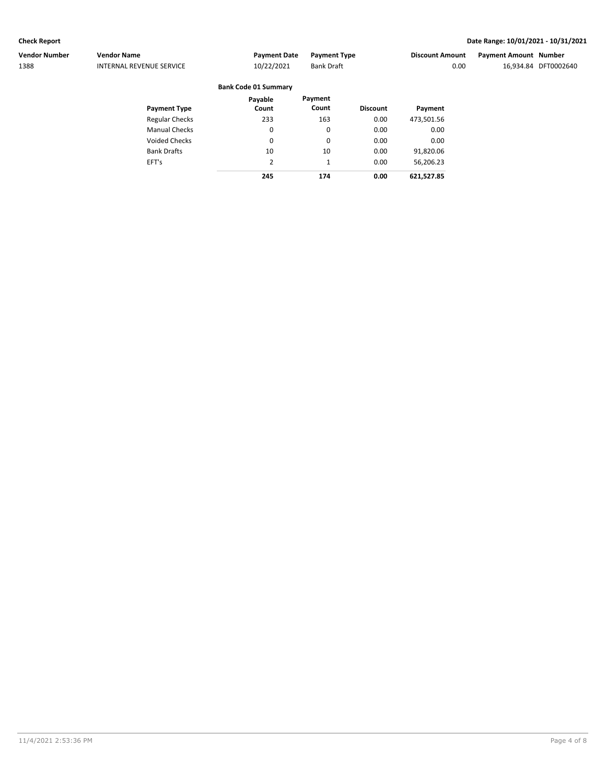EFT's

### **Check Report Date Range: 10/01/2021 - 10/31/2021**

| <b>Vendor Number</b> | <b>Vendor Name</b>       | <b>Payment Date</b>         | <b>Payment Type</b> |                 | <b>Discount Amount</b> | <b>Payment Amount Number</b> |                      |  |
|----------------------|--------------------------|-----------------------------|---------------------|-----------------|------------------------|------------------------------|----------------------|--|
| 1388                 | INTERNAL REVENUE SERVICE | 10/22/2021                  | <b>Bank Draft</b>   |                 | 0.00                   |                              | 16.934.84 DFT0002640 |  |
|                      |                          | <b>Bank Code 01 Summary</b> |                     |                 |                        |                              |                      |  |
|                      |                          | Pavable                     | Payment             |                 |                        |                              |                      |  |
|                      | <b>Payment Type</b>      | Count                       | Count               | <b>Discount</b> | Payment                |                              |                      |  |
|                      | <b>Regular Checks</b>    | 233                         | 163                 | 0.00            | 473,501.56             |                              |                      |  |
|                      | <b>Manual Checks</b>     | 0                           | 0                   | 0.00            | 0.00                   |                              |                      |  |
|                      | <b>Voided Checks</b>     | 0                           | 0                   | 0.00            | 0.00                   |                              |                      |  |
|                      | <b>Bank Drafts</b>       | 10                          | 10                  | 0.00            | 91,820.06              |                              |                      |  |

2 **245** 1

**174 0.00**

0.00

56,206.23 **621,527.85**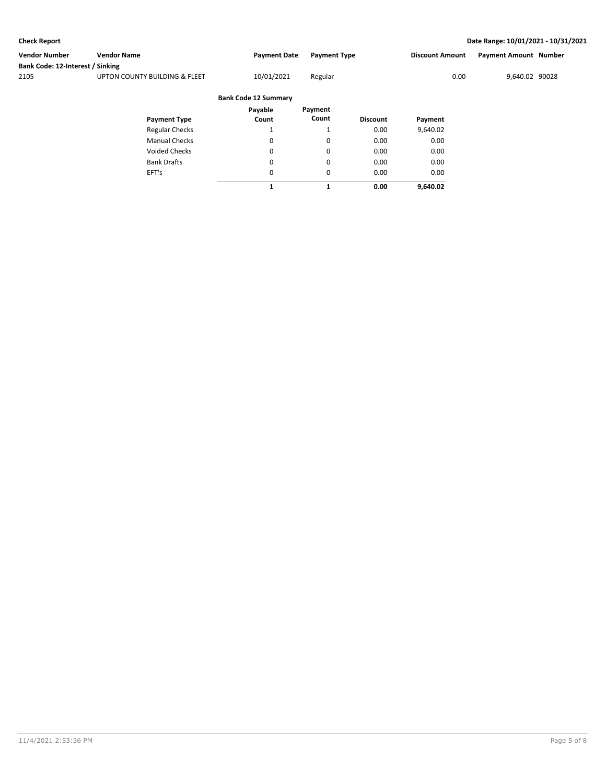| Vendor Number                            | <b>Vendor Name</b>            | <b>Payment Date</b>         | <b>Payment Type</b>         |           | <b>Discount Amount</b> | <b>Payment Amount Number</b> |  |
|------------------------------------------|-------------------------------|-----------------------------|-----------------------------|-----------|------------------------|------------------------------|--|
| Bank Code: 12-Interest / Sinking<br>2105 | UPTON COUNTY BUILDING & FLEET | 10/01/2021                  | Regular                     |           | 0.00                   | 9,640.02 90028               |  |
|                                          |                               | <b>Bank Code 12 Summary</b> |                             |           |                        |                              |  |
|                                          | Dowmant Type                  | Pavable<br>$C_{\text{min}}$ | Pavment<br>$C_{\text{O}11}$ | Discount. | <b>Doumont</b>         |                              |  |

| Payment Type          | Count | Count    | <b>Discount</b> | Payment  |
|-----------------------|-------|----------|-----------------|----------|
| <b>Regular Checks</b> |       |          | 0.00            | 9,640.02 |
| <b>Manual Checks</b>  | 0     | 0        | 0.00            | 0.00     |
| Voided Checks         | 0     | $\Omega$ | 0.00            | 0.00     |
| <b>Bank Drafts</b>    | 0     | $\Omega$ | 0.00            | 0.00     |
| EFT's                 | 0     | $\Omega$ | 0.00            | 0.00     |
|                       |       |          | 0.00            | 9.640.02 |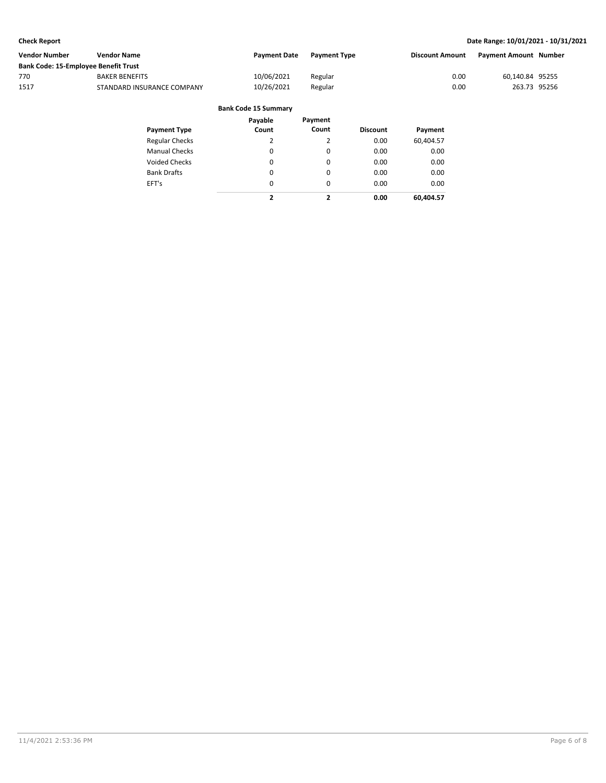| Vendor Number                        | <b>Vendor Name</b>         | <b>Payment Date</b> | <b>Payment Type</b> | <b>Discount Amount</b> | Payment Amount Number |  |
|--------------------------------------|----------------------------|---------------------|---------------------|------------------------|-----------------------|--|
| Bank Code: 15-Employee Benefit Trust |                            |                     |                     |                        |                       |  |
| 770                                  | <b>BAKER BENEFITS</b>      | 10/06/2021          | Regular             | 0.00                   | 60,140.84 95255       |  |
| 1517                                 | STANDARD INSURANCE COMPANY | 10/26/2021          | Regular             | 0.00                   | 263.73 95256          |  |
|                                      |                            |                     |                     |                        |                       |  |

| <b>Bank Code 15 Summary</b> |  |
|-----------------------------|--|
|-----------------------------|--|

| <b>Payment Type</b>   | Payable<br>Count        | Payment<br>Count | <b>Discount</b> | Payment   |
|-----------------------|-------------------------|------------------|-----------------|-----------|
| <b>Regular Checks</b> | 2                       | 2                | 0.00            | 60,404.57 |
| <b>Manual Checks</b>  | 0                       | 0                | 0.00            | 0.00      |
| <b>Voided Checks</b>  | 0                       | $\Omega$         | 0.00            | 0.00      |
| <b>Bank Drafts</b>    | 0                       | 0                | 0.00            | 0.00      |
| EFT's                 | 0                       | $\Omega$         | 0.00            | 0.00      |
|                       | $\overline{\mathbf{z}}$ | 2                | 0.00            | 60.404.57 |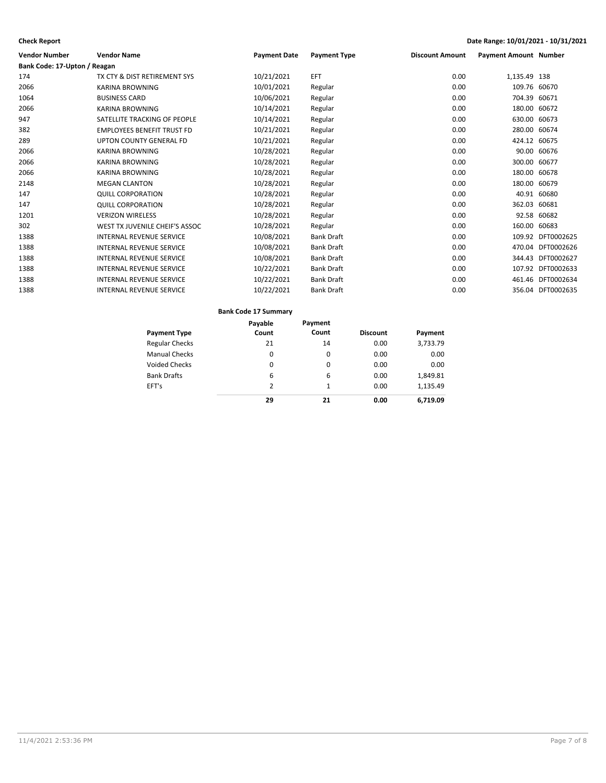| Vendor Number                | <b>Vendor Name</b>                | <b>Payment Date</b> | <b>Payment Type</b> | <b>Discount Amount</b> | <b>Payment Amount Number</b> |                   |
|------------------------------|-----------------------------------|---------------------|---------------------|------------------------|------------------------------|-------------------|
| Bank Code: 17-Upton / Reagan |                                   |                     |                     |                        |                              |                   |
| 174                          | TX CTY & DIST RETIREMENT SYS      | 10/21/2021          | EFT                 | 0.00                   | 1,135.49 138                 |                   |
| 2066                         | <b>KARINA BROWNING</b>            | 10/01/2021          | Regular             | 0.00                   | 109.76 60670                 |                   |
| 1064                         | <b>BUSINESS CARD</b>              | 10/06/2021          | Regular             | 0.00                   | 704.39                       | 60671             |
| 2066                         | <b>KARINA BROWNING</b>            | 10/14/2021          | Regular             | 0.00                   | 180.00 60672                 |                   |
| 947                          | SATELLITE TRACKING OF PEOPLE      | 10/14/2021          | Regular             | 0.00                   | 630.00 60673                 |                   |
| 382                          | <b>EMPLOYEES BENEFIT TRUST FD</b> | 10/21/2021          | Regular             | 0.00                   | 280.00 60674                 |                   |
| 289                          | <b>UPTON COUNTY GENERAL FD</b>    | 10/21/2021          | Regular             | 0.00                   | 424.12 60675                 |                   |
| 2066                         | <b>KARINA BROWNING</b>            | 10/28/2021          | Regular             | 0.00                   |                              | 90.00 60676       |
| 2066                         | <b>KARINA BROWNING</b>            | 10/28/2021          | Regular             | 0.00                   | 300.00 60677                 |                   |
| 2066                         | <b>KARINA BROWNING</b>            | 10/28/2021          | Regular             | 0.00                   | 180.00                       | 60678             |
| 2148                         | <b>MEGAN CLANTON</b>              | 10/28/2021          | Regular             | 0.00                   | 180.00                       | 60679             |
| 147                          | <b>QUILL CORPORATION</b>          | 10/28/2021          | Regular             | 0.00                   |                              | 40.91 60680       |
| 147                          | <b>QUILL CORPORATION</b>          | 10/28/2021          | Regular             | 0.00                   | 362.03 60681                 |                   |
| 1201                         | <b>VERIZON WIRELESS</b>           | 10/28/2021          | Regular             | 0.00                   | 92.58                        | 60682             |
| 302                          | WEST TX JUVENILE CHEIF'S ASSOC    | 10/28/2021          | Regular             | 0.00                   | 160.00                       | 60683             |
| 1388                         | <b>INTERNAL REVENUE SERVICE</b>   | 10/08/2021          | <b>Bank Draft</b>   | 0.00                   |                              | 109.92 DFT0002625 |
| 1388                         | <b>INTERNAL REVENUE SERVICE</b>   | 10/08/2021          | <b>Bank Draft</b>   | 0.00                   |                              | 470.04 DFT0002626 |
| 1388                         | <b>INTERNAL REVENUE SERVICE</b>   | 10/08/2021          | <b>Bank Draft</b>   | 0.00                   | 344.43                       | DFT0002627        |
| 1388                         | <b>INTERNAL REVENUE SERVICE</b>   | 10/22/2021          | <b>Bank Draft</b>   | 0.00                   |                              | 107.92 DFT0002633 |
| 1388                         | <b>INTERNAL REVENUE SERVICE</b>   | 10/22/2021          | <b>Bank Draft</b>   | 0.00                   |                              | 461.46 DFT0002634 |
| 1388                         | <b>INTERNAL REVENUE SERVICE</b>   | 10/22/2021          | <b>Bank Draft</b>   | 0.00                   |                              | 356.04 DFT0002635 |

### **Bank Code 17 Summary**

|                       | Payable | Payment |                 |          |
|-----------------------|---------|---------|-----------------|----------|
| <b>Payment Type</b>   | Count   | Count   | <b>Discount</b> | Payment  |
| <b>Regular Checks</b> | 21      | 14      | 0.00            | 3,733.79 |
| <b>Manual Checks</b>  | 0       | 0       | 0.00            | 0.00     |
| <b>Voided Checks</b>  | 0       | 0       | 0.00            | 0.00     |
| <b>Bank Drafts</b>    | 6       | 6       | 0.00            | 1,849.81 |
| EFT's                 | 2       | 1       | 0.00            | 1.135.49 |
|                       | 29      | 21      | 0.00            | 6,719.09 |